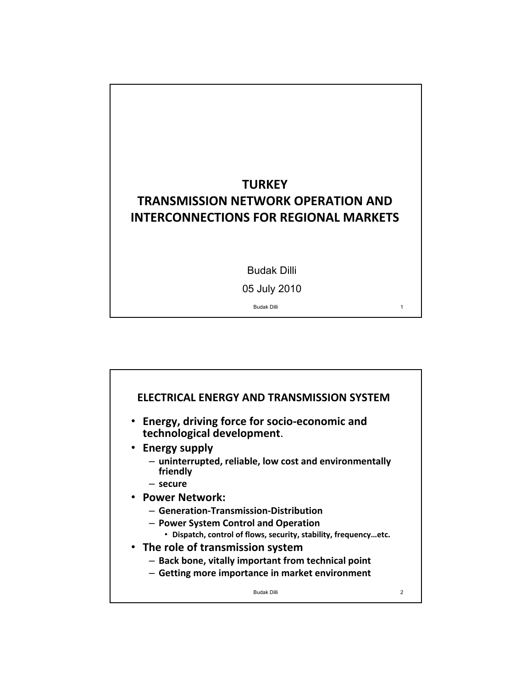# **TURKEY TRANSMISSION NETWORK OPERATION AND INTERCONNECTIONS FOR REGIONAL MARKETS**

Budak Dilli

05 July 2010

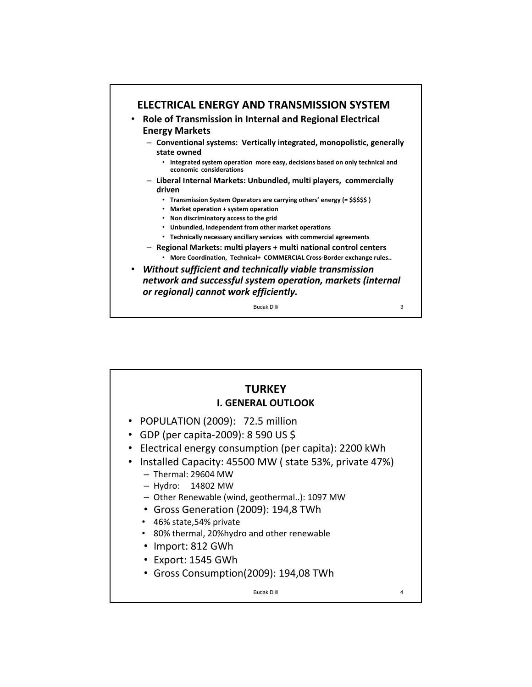

### **TURKEY I. GENERAL OUTLOOK** • POPULATION (2009): 72.5 million • GDP (per capita‐2009): 8 590 US \$ • Electrical energy consumption (per capita): 2200 kWh • Installed Capacity: 45500 MW ( state 53%, private 47%) – Thermal: 29604 MW – Hydro: 14802 MW – Other Renewable (wind, geothermal..): 1097 MW • Gross Generation (2009): 194,8 TWh • 46% state,54% private • 80% thermal, 20%hydro and other renewable • Import: 812 GWh • Export: 1545 GWh • Gross Consumption(2009): 194,08 TWh Budak Dilli 4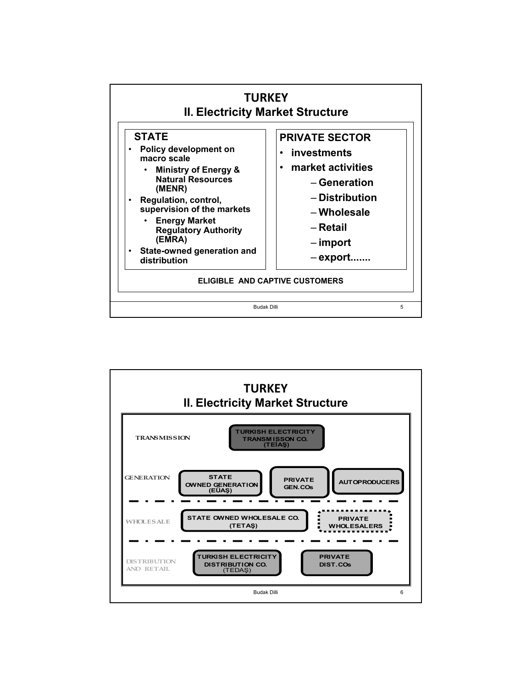

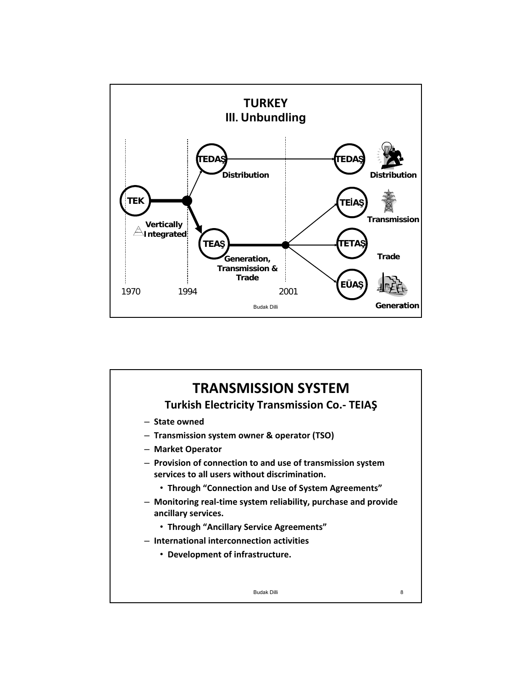

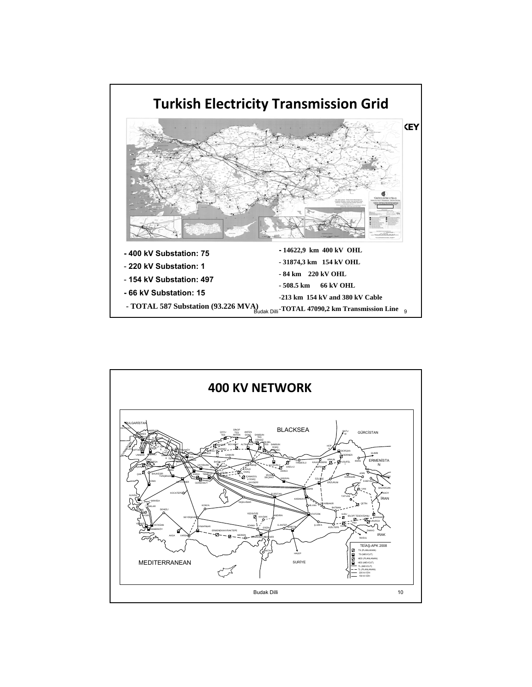

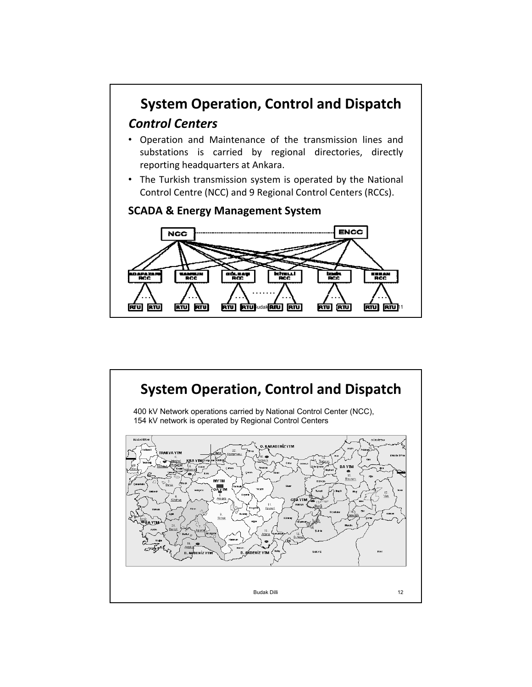

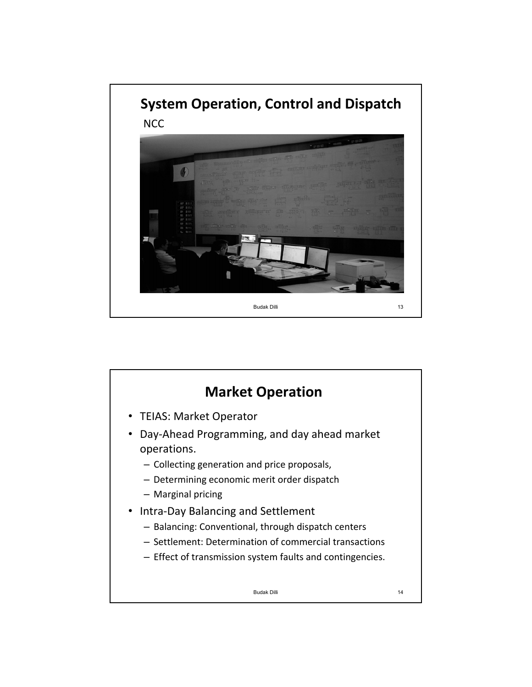

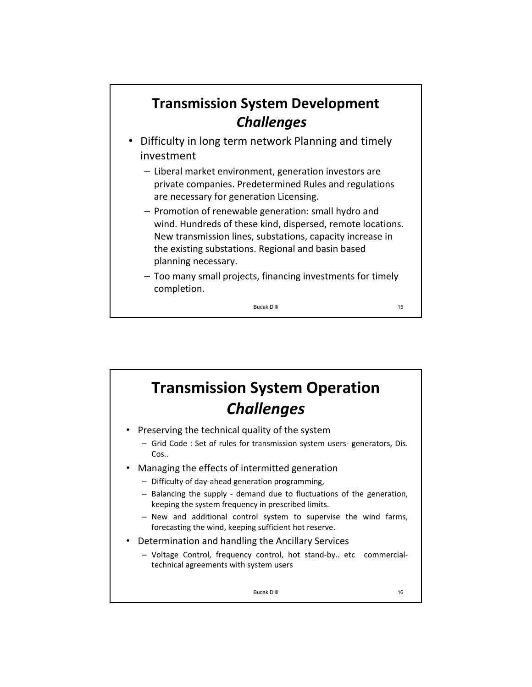# **Transmission System Development** *Challenges*

- Difficulty in long term network Planning and timely investment
	- Liberal market environment, generation investors are private companies. Predetermined Rules and regulations are necessary for generation Licensing.
	- Promotion of renewable generation: small hydro and wind. Hundreds of these kind, dispersed, remote locations. New transmission lines, substations, capacity increase in the existing substations. Regional and basin based planning necessary.
	- Too many small projects, financing investments for timely completion.

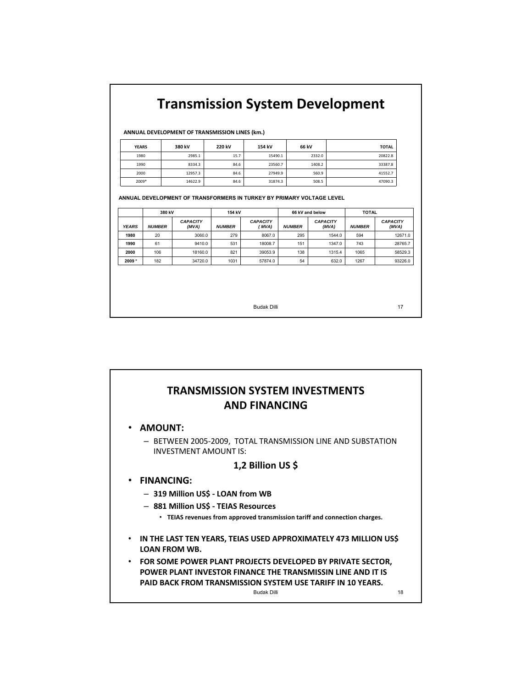# **Transmission System Development**

**ANNUAL DEVELOPMENT OF TRANSMISSION LINES (km.)**

| <b>YEARS</b> | 380 kV  | 220 kV | 154 kV  | 66 kV  | <b>TOTAL</b> |
|--------------|---------|--------|---------|--------|--------------|
| 1980         | 2985.1  | 15.7   | 15490.1 | 2332.0 | 20822.8      |
| 1990         | 8334.3  | 84.6   | 23560.7 | 1408.2 | 33387.8      |
| 2000         | 12957.3 | 84.6   | 27949.9 | 560.9  | 41552.7      |
| 2009*        | 14622.9 | 84.6   | 31874.3 | 508.5  | 47090.3      |

**ANNUAL DEVELOPMENT OF TRANSFORMERS IN TURKEY BY PRIMARY VOLTAGE LEVEL**

|              | 380 kV        |                          | 154 kV        |                          |               | 66 kV and below          | <b>TOTAL</b>  |                          |
|--------------|---------------|--------------------------|---------------|--------------------------|---------------|--------------------------|---------------|--------------------------|
| <b>YEARS</b> | <b>NUMBER</b> | <b>CAPACITY</b><br>(MVA) | <b>NUMBER</b> | <b>CAPACITY</b><br>(MVA) | <b>NUMBER</b> | <b>CAPACITY</b><br>(MVA) | <b>NUMBER</b> | <b>CAPACITY</b><br>(MVA) |
| 1980         | 20            | 3060.0                   | 279           | 8067.0                   | 295           | 1544.0                   | 594           | 12671.0                  |
| 1990         | 61            | 9410.0                   | 531           | 18008.7                  | 151           | 1347.0                   | 743           | 28765.7                  |
| 2000         | 106           | 18160.0                  | 821           | 39053.9                  | 138           | 1315.4                   | 1065          | 58529.3                  |
| $2009 *$     | 182           | 34720.0                  | 1031          | 57874.0                  | 54            | 632.0                    | 1267          | 93226.0                  |

Budak Dilli 17

#### **TRANSMISSION SYSTEM INVESTMENTS AND FINANCING**

- **AMOUNT:**
	- BETWEEN 2005‐2009, TOTAL TRANSMISSION LINE AND SUBSTATION INVESTMENT AMOUNT IS:

#### **1,2 Billion US \$**

- **FINANCING:**
	- **319 Million US\$ ‐ LOAN from WB**
	- **881 Million US\$ ‐ TEIAS Resources**
		- **TEIAS revenues from approved transmission tariff and connection charges.**
- **IN THE LAST TEN YEARS, TEIAS USED APPROXIMATELY 473 MILLION US\$ LOAN FROM WB.**
- **FOR SOME POWER PLANT PROJECTS DEVELOPED BY PRIVATE SECTOR, POWER PLANT INVESTOR FINANCE THE TRANSMISSIN LINE AND IT IS PAID BACK FROM TRANSMISSION SYSTEM USE TARIFF IN 10 YEARS.** Budak Dilli 18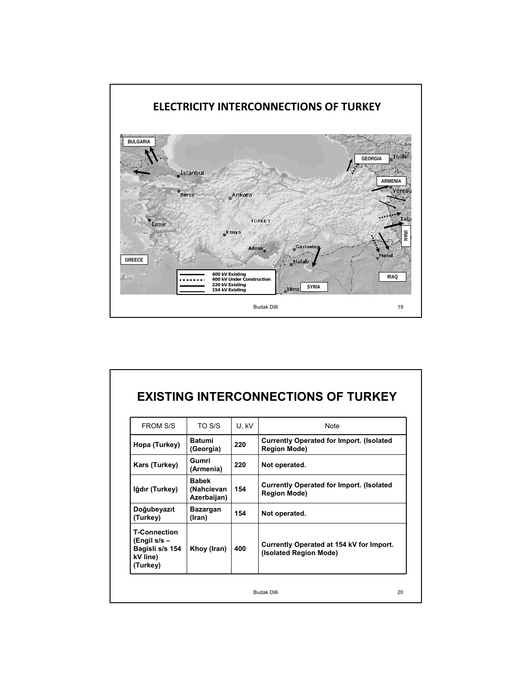

| <b>FROM S/S</b>                                                                | TO S/S                                    | U, kV | <b>Note</b>                                                             |
|--------------------------------------------------------------------------------|-------------------------------------------|-------|-------------------------------------------------------------------------|
| Hopa (Turkey)                                                                  | <b>Batumi</b><br>(Georgia)                | 220   | <b>Currently Operated for Import. (Isolated</b><br><b>Region Mode)</b>  |
| Kars (Turkey)                                                                  | Gumri<br>(Armenia)                        | 220   | Not operated.                                                           |
| Iğdır (Turkey)                                                                 | <b>Bahek</b><br>(Nahcievan<br>Azerbaijan) | 154   | <b>Currently Operated for Import. (Isolated)</b><br><b>Region Mode)</b> |
| Doğubeyazıt<br>(Turkey)                                                        | Bazargan<br>(Iran)                        | 154   | Not operated.                                                           |
| <b>T-Connection</b><br>(Engil s/s –<br>Bagisli s/s 154<br>kV line)<br>(Turkey) | Khoy (Iran)                               | 400   | Currently Operated at 154 kV for Import.<br>(Isolated Region Mode)      |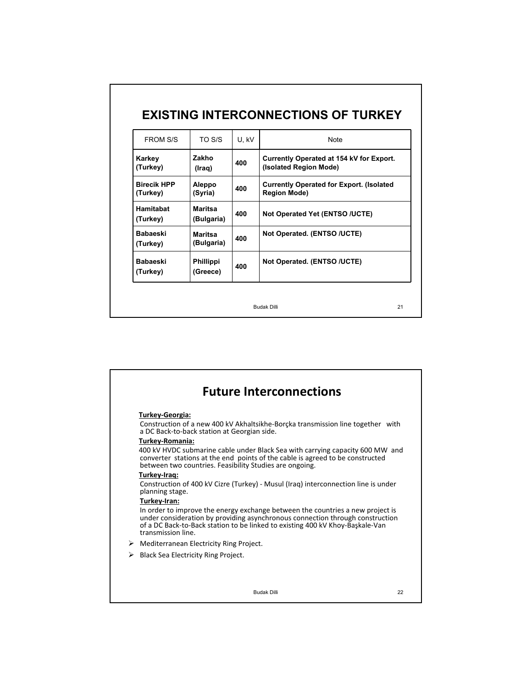| <b>FROM S/S</b>                | TO S/S                       | U.KV | <b>Note</b>                                                             |
|--------------------------------|------------------------------|------|-------------------------------------------------------------------------|
| Karkey<br>(Turkey)             | Zakho<br>(Iraq)              | 400  | Currently Operated at 154 kV for Export.<br>(Isolated Region Mode)      |
| <b>Rirecik HPP</b><br>(Turkey) | Aleppo<br>(Syria)            | 400  | <b>Currently Operated for Export. (Isolated)</b><br><b>Region Mode)</b> |
| Hamitabat<br>(Turkey)          | <b>Maritsa</b><br>(Bulgaria) | 400  | Not Operated Yet (ENTSO /UCTE)                                          |
| <b>Babaeski</b><br>(Turkey)    | Maritsa<br>(Bulgaria)        | 400  | Not Operated. (ENTSO /UCTE)                                             |
| <b>Babaeski</b><br>(Turkey)    | <b>Phillippi</b><br>(Greece) | 400  | Not Operated. (ENTSO /UCTE)                                             |

|   | <b>Future Interconnections</b>                                                                                                                                                                                                                                                         |    |
|---|----------------------------------------------------------------------------------------------------------------------------------------------------------------------------------------------------------------------------------------------------------------------------------------|----|
|   |                                                                                                                                                                                                                                                                                        |    |
|   | Turkey-Georgia:<br>Construction of a new 400 kV Akhaltsikhe-Borcka transmission line together with<br>a DC Back-to-back station at Georgian side.                                                                                                                                      |    |
|   | Turkey-Romania:<br>400 kV HVDC submarine cable under Black Sea with carrying capacity 600 MW and<br>converter stations at the end points of the cable is agreed to be constructed<br>between two countries. Feasibility Studies are ongoing.                                           |    |
|   | Turkey-Iraq:<br>Construction of 400 kV Cizre (Turkey) - Musul (Irag) interconnection line is under<br>planning stage.                                                                                                                                                                  |    |
|   | Turkey-Iran:<br>In order to improve the energy exchange between the countries a new project is<br>under consideration by providing asynchronous connection through construction<br>of a DC Back-to-Back station to be linked to existing 400 kV Khoy-Baskale-Van<br>transmission line. |    |
|   | $\triangleright$ Mediterranean Electricity Ring Project.                                                                                                                                                                                                                               |    |
| ≻ | Black Sea Electricity Ring Project.                                                                                                                                                                                                                                                    |    |
|   |                                                                                                                                                                                                                                                                                        |    |
|   | <b>Budak Dilli</b>                                                                                                                                                                                                                                                                     | 22 |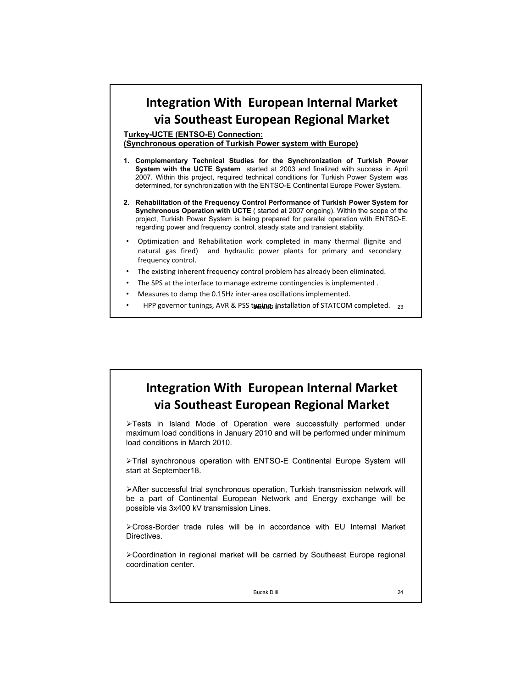### **Integration With European Internal Market via Southeast European Regional Market**

**Turkey-UCTE (ENTSO-E) Connection:** 

**(Synchronous operation of Turkish Power system with Europe)**

- **1. Complementary Technical Studies for the Synchronization of Turkish Power System with the UCTE System** started at 2003 and finalized with success in April 2007. Within this project, required technical conditions for Turkish Power System was determined, for synchronization with the ENTSO-E Continental Europe Power System.
- **2. Rehabilitation of the Frequency Control Performance of Turkish Power System for Synchronous Operation with UCTE** ( started at 2007 ongoing). Within the scope of the project, Turkish Power System is being prepared for parallel operation with ENTSO-E, regarding power and frequency control, steady state and transient stability.
- Optimization and Rehabilitation work completed in many thermal (lignite and natural gas fired) and hydraulic power plants for primary and secondary frequency control.
- The existing inherent frequency control problem has already been eliminated.
- The SPS at the interface to manage extreme contingencies is implemented.
- Measures to damp the 0.15Hz inter‐area oscillations implemented.
- HPP governor tunings, AVR & PSS tuning, Installation of STATCOM completed. 23

## **Integration With European Internal Market via Southeast European Regional Market**

¾Tests in Island Mode of Operation were successfully performed under maximum load conditions in January 2010 and will be performed under minimum load conditions in March 2010.

¾Trial synchronous operation with ENTSO-E Continental Europe System will start at September18.

¾After successful trial synchronous operation, Turkish transmission network will be a part of Continental European Network and Energy exchange will be possible via 3x400 kV transmission Lines.

¾Cross-Border trade rules will be in accordance with EU Internal Market Directives.

¾Coordination in regional market will be carried by Southeast Europe regional coordination center.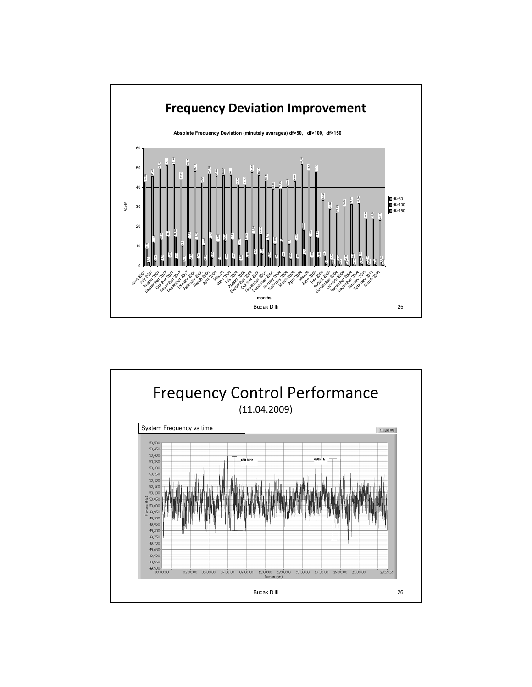